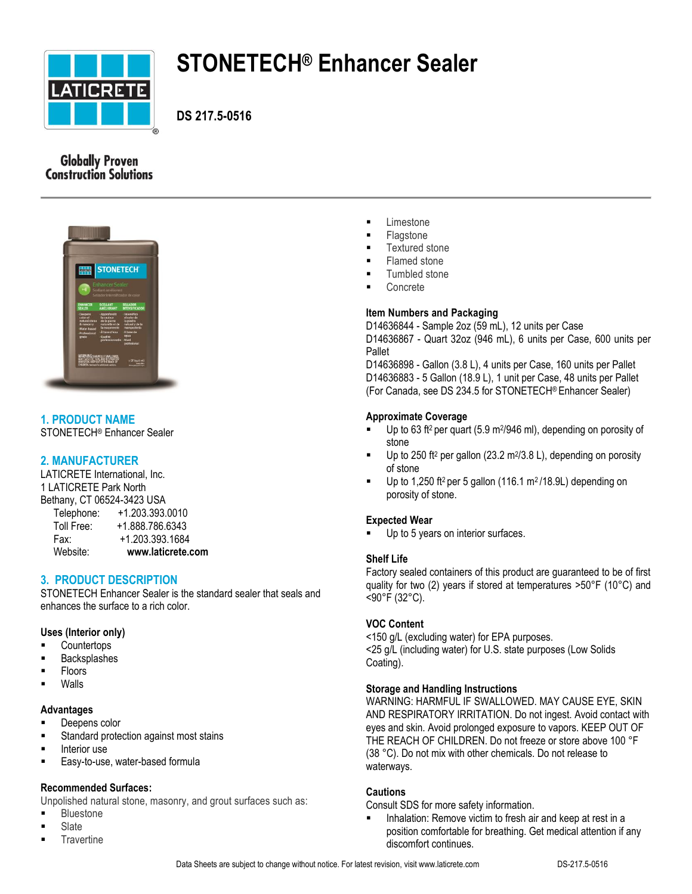

# **STONETECH® Enhancer Sealer**

**DS 217.5-0516**

# **Globally Proven Construction Solutions**



# **1. PRODUCT NAME**

STONETECH® Enhancer Sealer

# **2. MANUFACTURER**

LATICRETE International, Inc. 1 LATICRETE Park North Bethany, CT 06524-3423 USA Telephone: +1.203.393.0010 Toll Free: +1.888.786.6343 Fax: +1.203.393.1684 Website: **www.laticrete.com**

**3. PRODUCT DESCRIPTION**

STONETECH Enhancer Sealer is the standard sealer that seals and enhances the surface to a rich color.

## **Uses (Interior only)**

- **Countertops**
- Backsplashes
- Floors
- Walls

## **Advantages**

- **Deepens color**
- Standard protection against most stains
- Interior use
- **Easy-to-use, water-based formula**

## **Recommended Surfaces:**

Unpolished natural stone, masonry, and grout surfaces such as:

- Bluestone
- Slate
- **Travertine**
- **Exercise**
- **Flagstone**
- Textured stone
- Flamed stone
- Tumbled stone
- Concrete

## **Item Numbers and Packaging**

D14636844 - Sample 2oz (59 mL), 12 units per Case D14636867 - Quart 32oz (946 mL), 6 units per Case, 600 units per Pallet

D14636898 - Gallon (3.8 L), 4 units per Case, 160 units per Pallet D14636883 - 5 Gallon (18.9 L), 1 unit per Case, 48 units per Pallet (For Canada, see DS 234.5 for STONETECH® Enhancer Sealer)

## **Approximate Coverage**

- $\blacksquare$  Up to 63 ft<sup>2</sup> per quart (5.9 m<sup>2</sup>/946 ml), depending on porosity of stone
- $\blacksquare$  Up to 250 ft<sup>2</sup> per gallon (23.2 m<sup>2</sup>/3.8 L), depending on porosity of stone
- Up to 1,250 ft<sup>2</sup> per 5 gallon (116.1 m<sup>2</sup>/18.9L) depending on porosity of stone.

## **Expected Wear**

Up to 5 years on interior surfaces.

## **Shelf Life**

Factory sealed containers of this product are guaranteed to be of first quality for two (2) years if stored at temperatures >50°F (10°C) and <90°F (32°C).

## **VOC Content**

<150 g/L (excluding water) for EPA purposes. <25 g/L (including water) for U.S. state purposes (Low Solids Coating).

## **Storage and Handling Instructions**

WARNING: HARMFUL IF SWALLOWED. MAY CAUSE EYE, SKIN AND RESPIRATORY IRRITATION. Do not ingest. Avoid contact with eyes and skin. Avoid prolonged exposure to vapors. KEEP OUT OF THE REACH OF CHILDREN. Do not freeze or store above 100 °F (38 °C). Do not mix with other chemicals. Do not release to waterways.

#### **Cautions**

Consult SDS for more safety information.

 Inhalation: Remove victim to fresh air and keep at rest in a position comfortable for breathing. Get medical attention if any discomfort continues.